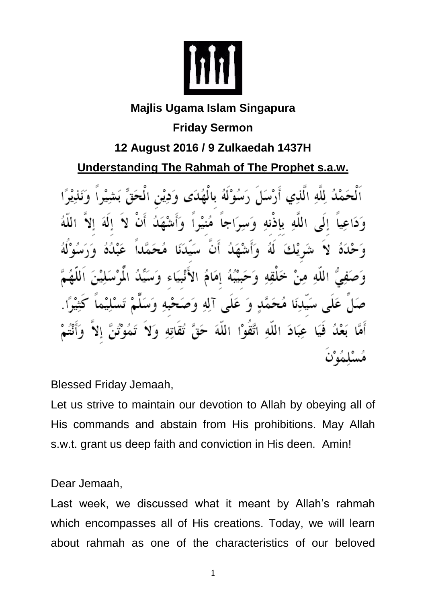

## **Majlis Ugama Islam Singapura Friday Sermon 12 August 2016 / 9 Zulkaedah 1437H Understanding The Rahmah of The Prophet s.a.w.**

لُ لِلَّهِ الَّذِي أَرْسَلَ رَسُوْلَهُ بِالْهُدَى وَدِيْنِ الْحَقِّ اللَّهِ بِإِذْنِهِ وَسِرَاجاً مُنيْراً وَأَشْهَدُ الهَ الا  $\mathcal{L}$ á۱ نْكَ ه ا بُّبُهُ إِمَامُ الأَنْبِيَاء سَيدِنَا مُحَمَّدٍ وَ عَلَى آلِهِ وَصَحْبِهِ وَسَ فَيَا عِبَادَ اللَّهِ اتَّقَوْاْ اللَّهَ حَقَّ تُقَاتِهِ وَلاَ

Blessed Friday Jemaah,

Let us strive to maintain our devotion to Allah by obeying all of His commands and abstain from His prohibitions. May Allah s.w.t. grant us deep faith and conviction in His deen. Amin!

Dear Jemaah,

Last week, we discussed what it meant by Allah's rahmah which encompasses all of His creations. Today, we will learn about rahmah as one of the characteristics of our beloved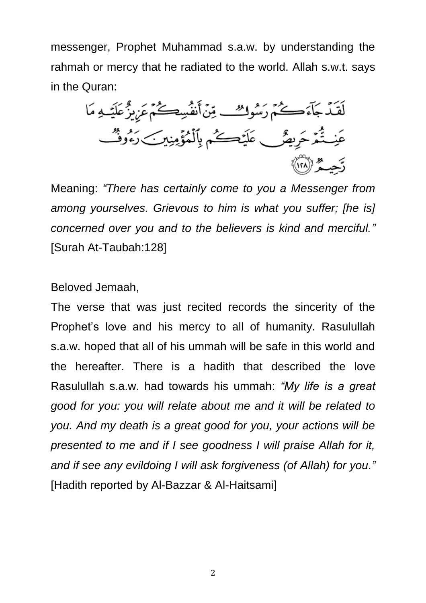messenger, Prophet Muhammad s.a.w. by understanding the rahmah or mercy that he radiated to the world. Allah s.w.t. says in the Quran:

لَقَدْ جَآءَكُمْ رَسُوكُ\_ مِّنْ أَنفُسِكُمْ عَزِيزٌ عَلَيْـهِ مَا عَنِـتُّمَّ حَرِيصٌ عَلَيْمَــِّمْ بِٱلْمُؤْمِنِينَ رَءُوشٌ رَّحِيــهُرْ (١٢٨)

Meaning: *"There has certainly come to you a Messenger from among yourselves. Grievous to him is what you suffer; [he is] concerned over you and to the believers is kind and merciful."* [Surah At-Taubah:128]

Beloved Jemaah,

The verse that was just recited records the sincerity of the Prophet's love and his mercy to all of humanity. Rasulullah s.a.w. hoped that all of his ummah will be safe in this world and the hereafter. There is a hadith that described the love Rasulullah s.a.w. had towards his ummah: *"My life is a great good for you: you will relate about me and it will be related to you. And my death is a great good for you, your actions will be presented to me and if I see goodness I will praise Allah for it, and if see any evildoing I will ask forgiveness (of Allah) for you."* [Hadith reported by Al-Bazzar & Al-Haitsami]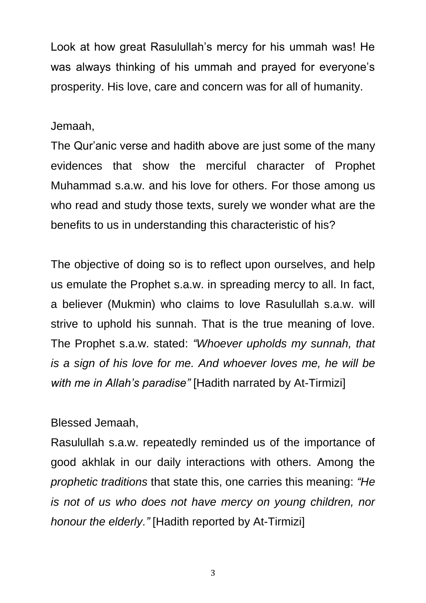Look at how great Rasulullah's mercy for his ummah was! He was always thinking of his ummah and prayed for everyone's prosperity. His love, care and concern was for all of humanity.

Jemaah,

The Qur'anic verse and hadith above are just some of the many evidences that show the merciful character of Prophet Muhammad s.a.w. and his love for others. For those among us who read and study those texts, surely we wonder what are the benefits to us in understanding this characteristic of his?

The objective of doing so is to reflect upon ourselves, and help us emulate the Prophet s.a.w. in spreading mercy to all. In fact, a believer (Mukmin) who claims to love Rasulullah s.a.w. will strive to uphold his sunnah. That is the true meaning of love. The Prophet s.a.w. stated: *"Whoever upholds my sunnah, that is a sign of his love for me. And whoever loves me, he will be with me in Allah's paradise"* [Hadith narrated by At-Tirmizi]

Blessed Jemaah,

Rasulullah s.a.w. repeatedly reminded us of the importance of good akhlak in our daily interactions with others. Among the *prophetic traditions* that state this, one carries this meaning: *"He is not of us who does not have mercy on young children, nor honour the elderly."* [Hadith reported by At-Tirmizi]

3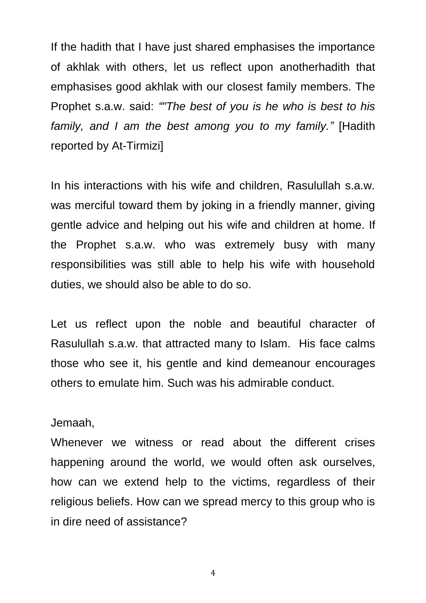If the hadith that I have just shared emphasises the importance of akhlak with others, let us reflect upon anotherhadith that emphasises good akhlak with our closest family members. The Prophet s.a.w. said: *""The best of you is he who is best to his family, and I am the best among you to my family."* [Hadith reported by At-Tirmizi]

In his interactions with his wife and children, Rasulullah s.a.w. was merciful toward them by joking in a friendly manner, giving gentle advice and helping out his wife and children at home. If the Prophet s.a.w. who was extremely busy with many responsibilities was still able to help his wife with household duties, we should also be able to do so.

Let us reflect upon the noble and beautiful character of Rasulullah s.a.w. that attracted many to Islam. His face calms those who see it, his gentle and kind demeanour encourages others to emulate him. Such was his admirable conduct.

Jemaah,

Whenever we witness or read about the different crises happening around the world, we would often ask ourselves, how can we extend help to the victims, regardless of their religious beliefs. How can we spread mercy to this group who is in dire need of assistance?

4